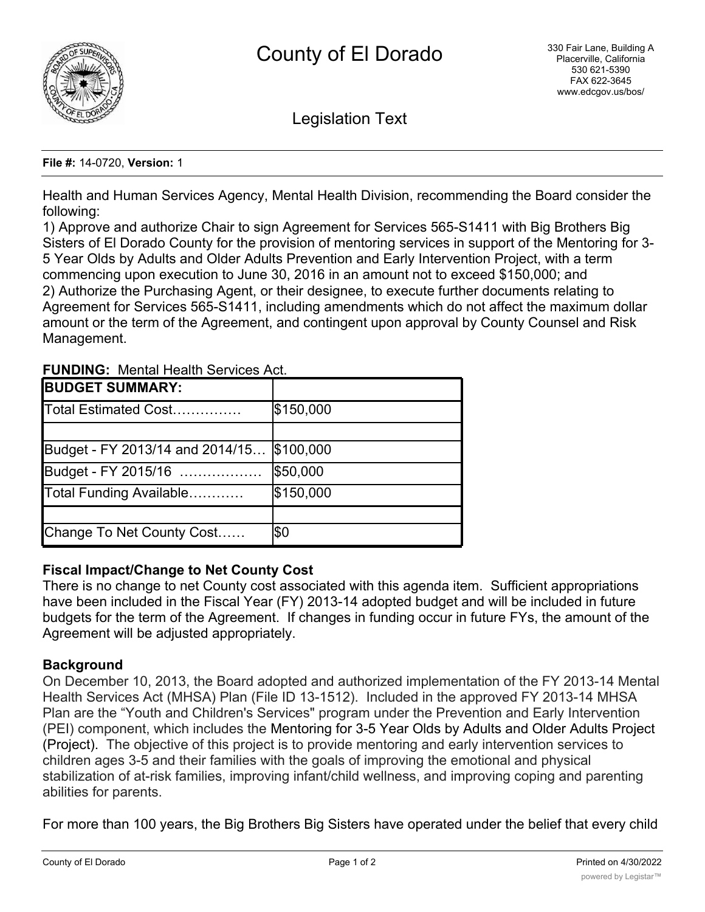

Legislation Text

#### **File #:** 14-0720, **Version:** 1

Health and Human Services Agency, Mental Health Division, recommending the Board consider the following:

1) Approve and authorize Chair to sign Agreement for Services 565-S1411 with Big Brothers Big Sisters of El Dorado County for the provision of mentoring services in support of the Mentoring for 3- 5 Year Olds by Adults and Older Adults Prevention and Early Intervention Project, with a term commencing upon execution to June 30, 2016 in an amount not to exceed \$150,000; and 2) Authorize the Purchasing Agent, or their designee, to execute further documents relating to Agreement for Services 565-S1411, including amendments which do not affect the maximum dollar amount or the term of the Agreement, and contingent upon approval by County Counsel and Risk Management.

| <b>BUDGET SUMMARY:</b>          |            |
|---------------------------------|------------|
| Total Estimated Cost            | \$150,000  |
|                                 |            |
| Budget - FY 2013/14 and 2014/15 | \$100,000  |
| Budget - FY 2015/16             | \$50,000   |
| Total Funding Available         | \$150,000  |
|                                 |            |
| Change To Net County Cost       | <b>\$Ο</b> |

## **FUNDING:** Mental Health Services Act.

# **Fiscal Impact/Change to Net County Cost**

There is no change to net County cost associated with this agenda item. Sufficient appropriations have been included in the Fiscal Year (FY) 2013-14 adopted budget and will be included in future budgets for the term of the Agreement. If changes in funding occur in future FYs, the amount of the Agreement will be adjusted appropriately.

# **Background**

On December 10, 2013, the Board adopted and authorized implementation of the FY 2013-14 Mental Health Services Act (MHSA) Plan (File ID 13-1512). Included in the approved FY 2013-14 MHSA Plan are the "Youth and Children's Services" program under the Prevention and Early Intervention (PEI) component, which includes the Mentoring for 3-5 Year Olds by Adults and Older Adults Project (Project). The objective of this project is to provide mentoring and early intervention services to children ages 3-5 and their families with the goals of improving the emotional and physical stabilization of at-risk families, improving infant/child wellness, and improving coping and parenting abilities for parents.

For more than 100 years, the Big Brothers Big Sisters have operated under the belief that every child